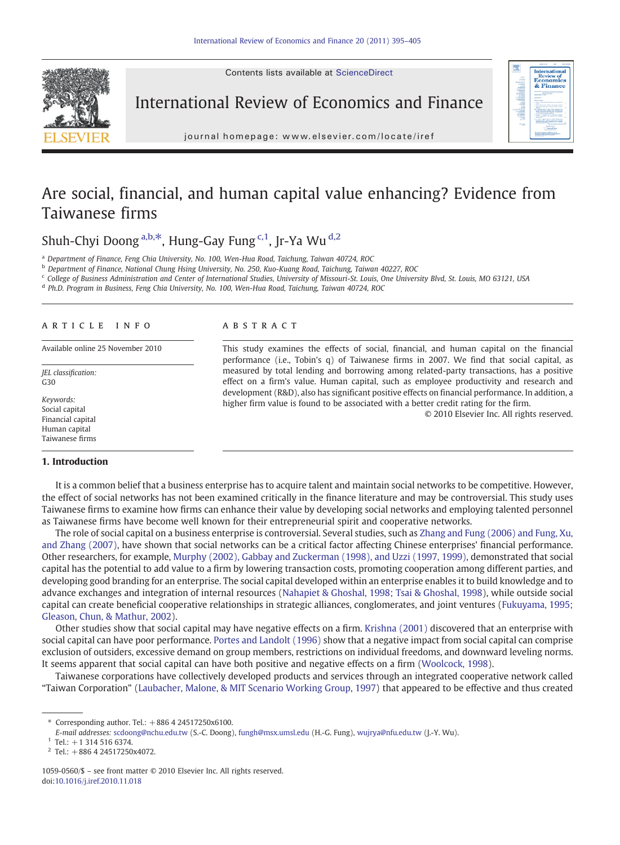Contents lists available at ScienceDirect



International Review of Economics and Finance



j o u r n a l h om e p a g e : www. e l s ev i e r. c om / l o c a t e / i r e f

# Are social, financial, and human capital value enhancing? Evidence from Taiwanese firms

Shuh-Chyi Doong a,b,\*, Hung-Gay Fung c,1, Ir-Ya Wu d,2

<sup>a</sup> Department of Finance, Feng Chia University, No. 100, Wen-Hua Road, Taichung, Taiwan 40724, ROC

b Department of Finance, National Chung Hsing University, No. 250, Kuo-Kuang Road, Taichung, Taiwan 40227, ROC

<sup>c</sup> College of Business Administration and Center of International Studies, University of Missouri-St. Louis, One University Blvd, St. Louis, MO 63121, USA

<sup>d</sup> Ph.D. Program in Business, Feng Chia University, No. 100, Wen-Hua Road, Taichung, Taiwan 40724, ROC

# article info abstract

JEL classification:  $G30$ 

Keywords: Social capital Financial capital Human capital Taiwanese firms

# 1. Introduction

Available online 25 November 2010 This study examines the effects of social, financial, and human capital on the financial performance (i.e., Tobin's q) of Taiwanese firms in 2007. We find that social capital, as measured by total lending and borrowing among related-party transactions, has a positive effect on a firm's value. Human capital, such as employee productivity and research and development (R&D), also has significant positive effects on financial performance. In addition, a higher firm value is found to be associated with a better credit rating for the firm.

© 2010 Elsevier Inc. All rights reserved.

It is a common belief that a business enterprise has to acquire talent and maintain social networks to be competitive. However, the effect of social networks has not been examined critically in the finance literature and may be controversial. This study uses Taiwanese firms to examine how firms can enhance their value by developing social networks and employing talented personnel as Taiwanese firms have become well known for their entrepreneurial spirit and cooperative networks.

The role of social capital on a business enterprise is controversial. Several studies, such as [Zhang and Fung \(2006\) and Fung, Xu,](#page--1-0) [and Zhang \(2007\),](#page--1-0) have shown that social networks can be a critical factor affecting Chinese enterprises' financial performance. Other researchers, for example, [Murphy \(2002\), Gabbay and Zuckerman \(1998\), and Uzzi \(1997, 1999\)](#page--1-0), demonstrated that social capital has the potential to add value to a firm by lowering transaction costs, promoting cooperation among different parties, and developing good branding for an enterprise. The social capital developed within an enterprise enables it to build knowledge and to advance exchanges and integration of internal resources ([Nahapiet & Ghoshal, 1998; Tsai & Ghoshal, 1998\)](#page--1-0), while outside social capital can create beneficial cooperative relationships in strategic alliances, conglomerates, and joint ventures ([Fukuyama, 1995;](#page--1-0) [Gleason, Chun, & Mathur, 2002](#page--1-0)).

Other studies show that social capital may have negative effects on a firm. [Krishna \(2001\)](#page--1-0) discovered that an enterprise with social capital can have poor performance. [Portes and Landolt \(1996\)](#page--1-0) show that a negative impact from social capital can comprise exclusion of outsiders, excessive demand on group members, restrictions on individual freedoms, and downward leveling norms. It seems apparent that social capital can have both positive and negative effects on a firm [\(Woolcock, 1998](#page--1-0)).

Taiwanese corporations have collectively developed products and services through an integrated cooperative network called "Taiwan Corporation" [\(Laubacher, Malone, & MIT Scenario Working Group, 1997](#page--1-0)) that appeared to be effective and thus created

<sup>⁎</sup> Corresponding author. Tel.: +886 4 24517250x6100.

E-mail addresses: [scdoong@nchu.edu.tw](mailto:scdoong@nchu.edu.tw) (S.-C. Doong), [fungh@msx.umsl.edu](mailto:fungh@msx.umsl.edu) (H.-G. Fung), [wujrya@nfu.edu.tw](mailto:wujrya@nfu.edu.tw) (J.-Y. Wu).

 $1$  Tel.: +1 314 516 6374.

 $2$  Tel.: +886 4 24517250x4072.

<sup>1059-0560/\$</sup> – see front matter © 2010 Elsevier Inc. All rights reserved. doi[:10.1016/j.iref.2010.11.018](http://dx.doi.org/10.1016/j.iref.2010.11.018)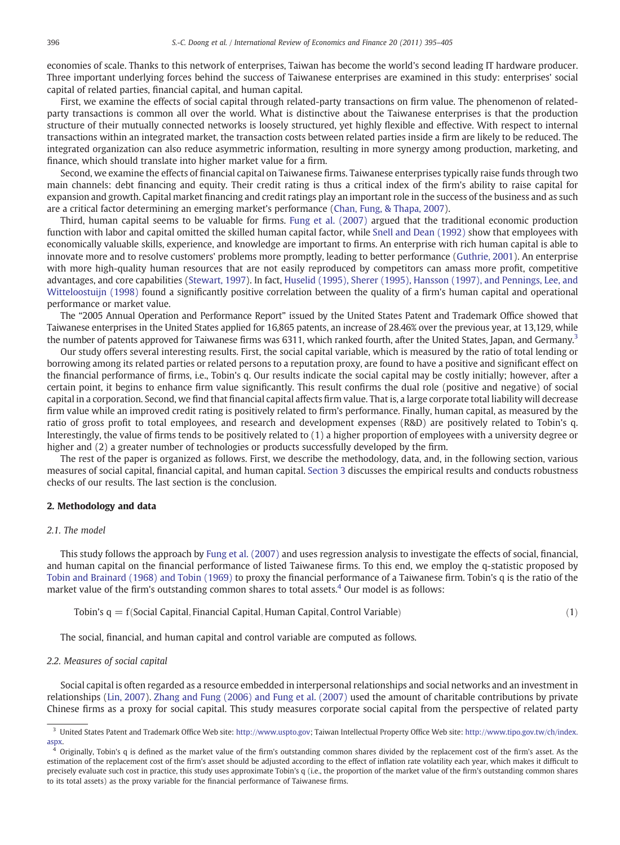economies of scale. Thanks to this network of enterprises, Taiwan has become the world's second leading IT hardware producer. Three important underlying forces behind the success of Taiwanese enterprises are examined in this study: enterprises' social capital of related parties, financial capital, and human capital.

First, we examine the effects of social capital through related-party transactions on firm value. The phenomenon of relatedparty transactions is common all over the world. What is distinctive about the Taiwanese enterprises is that the production structure of their mutually connected networks is loosely structured, yet highly flexible and effective. With respect to internal transactions within an integrated market, the transaction costs between related parties inside a firm are likely to be reduced. The integrated organization can also reduce asymmetric information, resulting in more synergy among production, marketing, and finance, which should translate into higher market value for a firm.

Second, we examine the effects of financial capital on Taiwanese firms. Taiwanese enterprises typically raise funds through two main channels: debt financing and equity. Their credit rating is thus a critical index of the firm's ability to raise capital for expansion and growth. Capital market financing and credit ratings play an important role in the success of the business and as such are a critical factor determining an emerging market's performance [\(Chan, Fung, & Thapa, 2007](#page--1-0)).

Third, human capital seems to be valuable for firms. [Fung et al. \(2007\)](#page--1-0) argued that the traditional economic production function with labor and capital omitted the skilled human capital factor, while [Snell and Dean \(1992\)](#page--1-0) show that employees with economically valuable skills, experience, and knowledge are important to firms. An enterprise with rich human capital is able to innovate more and to resolve customers' problems more promptly, leading to better performance ([Guthrie, 2001\)](#page--1-0). An enterprise with more high-quality human resources that are not easily reproduced by competitors can amass more profit, competitive advantages, and core capabilities ([Stewart, 1997\)](#page--1-0). In fact, [Huselid \(1995\), Sherer \(1995\), Hansson \(1997\), and Pennings, Lee, and](#page--1-0) [Witteloostuijn \(1998\)](#page--1-0) found a significantly positive correlation between the quality of a firm's human capital and operational performance or market value.

The "2005 Annual Operation and Performance Report" issued by the United States Patent and Trademark Office showed that Taiwanese enterprises in the United States applied for 16,865 patents, an increase of 28.46% over the previous year, at 13,129, while the number of patents approved for Taiwanese firms was 6311, which ranked fourth, after the United States, Japan, and Germany.<sup>3</sup>

Our study offers several interesting results. First, the social capital variable, which is measured by the ratio of total lending or borrowing among its related parties or related persons to a reputation proxy, are found to have a positive and significant effect on the financial performance of firms, i.e., Tobin's q. Our results indicate the social capital may be costly initially; however, after a certain point, it begins to enhance firm value significantly. This result confirms the dual role (positive and negative) of social capital in a corporation. Second, we find that financial capital affects firm value. That is, a large corporate total liability will decrease firm value while an improved credit rating is positively related to firm's performance. Finally, human capital, as measured by the ratio of gross profit to total employees, and research and development expenses (R&D) are positively related to Tobin's q. Interestingly, the value of firms tends to be positively related to (1) a higher proportion of employees with a university degree or higher and (2) a greater number of technologies or products successfully developed by the firm.

The rest of the paper is organized as follows. First, we describe the methodology, data, and, in the following section, various measures of social capital, financial capital, and human capital. [Section 3](#page--1-0) discusses the empirical results and conducts robustness checks of our results. The last section is the conclusion.

### 2. Methodology and data

### 2.1. The model

This study follows the approach by [Fung et al. \(2007\)](#page--1-0) and uses regression analysis to investigate the effects of social, financial, and human capital on the financial performance of listed Taiwanese firms. To this end, we employ the q-statistic proposed by [Tobin and Brainard \(1968\) and Tobin \(1969\)](#page--1-0) to proxy the financial performance of a Taiwanese firm. Tobin's q is the ratio of the market value of the firm's outstanding common shares to total assets.<sup>4</sup> Our model is as follows:

Tobin's  $q = f(Social Capital, Financial Capital, Human Capital, Control Variable)$  (1)

The social, financial, and human capital and control variable are computed as follows.

# 2.2. Measures of social capital

Social capital is often regarded as a resource embedded in interpersonal relationships and social networks and an investment in relationships [\(Lin, 2007\)](#page--1-0). [Zhang and Fung \(2006\) and Fung et al. \(2007\)](#page--1-0) used the amount of charitable contributions by private Chinese firms as a proxy for social capital. This study measures corporate social capital from the perspective of related party

<sup>3</sup> United States Patent and Trademark Office Web site: <http://www.uspto.gov>; Taiwan Intellectual Property Office Web site: [http://www.tipo.gov.tw/ch/index.](http://www.tipo.gov.tw/ch/index.aspx) [aspx.](http://www.tipo.gov.tw/ch/index.aspx)

<sup>4</sup> Originally, Tobin's q is defined as the market value of the firm's outstanding common shares divided by the replacement cost of the firm's asset. As the estimation of the replacement cost of the firm's asset should be adjusted according to the effect of inflation rate volatility each year, which makes it difficult to precisely evaluate such cost in practice, this study uses approximate Tobin's q (i.e., the proportion of the market value of the firm's outstanding common shares to its total assets) as the proxy variable for the financial performance of Taiwanese firms.